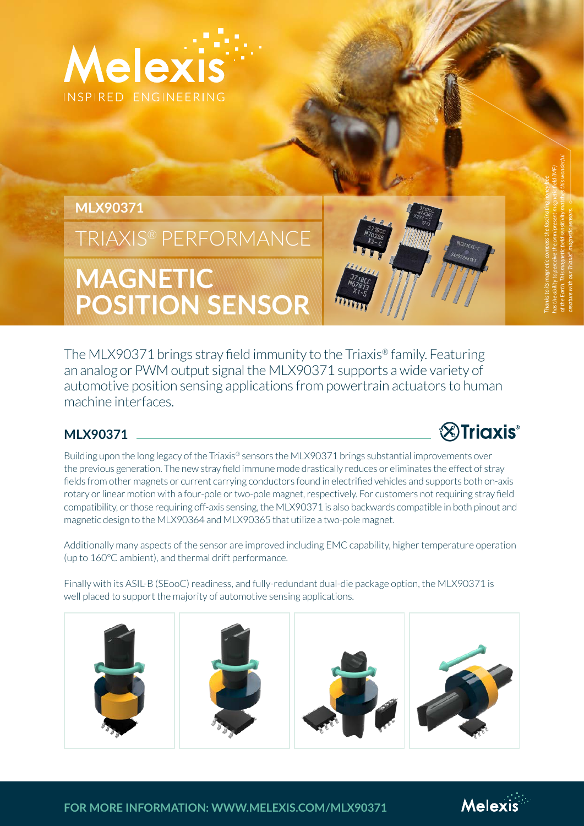

# **MLX90371**

TRIAXIS® PERFORMANCE

**MAGNETIC POSITION SENSOR**

The MLX90371 brings stray field immunity to the Triaxis® family. Featuring an analog or PWM output signal the MLX90371 supports a wide variety of automotive position sensing applications from powertrain actuators to human machine interfaces.

## **MLX90371**

Building upon the long legacy of the Triaxis® sensors the MLX90371 brings substantial improvements over the previous generation. The new stray field immune mode drastically reduces or eliminates the effect of stray fields from other magnets or current carrying conductors found in electrified vehicles and supports both on-axis rotary or linear motion with a four-pole or two-pole magnet, respectively. For customers not requiring stray field compatibility, or those requiring off-axis sensing, the MLX90371 is also backwards compatible in both pinout and magnetic design to the MLX90364 and MLX90365 that utilize a two-pole magnet.

Additionally many aspects of the sensor are improved including EMC capability, higher temperature operation (up to 160°C ambient), and thermal drift performance.

Finally with its ASIL-B (SEooC) readiness, and fully-redundant dual-die package option, the MLX90371 is well placed to support the majority of automotive sensing applications.



*Thanks to its magnetic compass the fascinating honey bee has the ability to perceive the omnipresent magnetic field (MF) of the Earth. This magnetic field sensitivity matches this wonderful creature with our Triaxis® magnetic sensors.*

**FOR MORE INFORMATION: WWW.MELEXIS.COM/MLX90371**



**& Triaxis**®